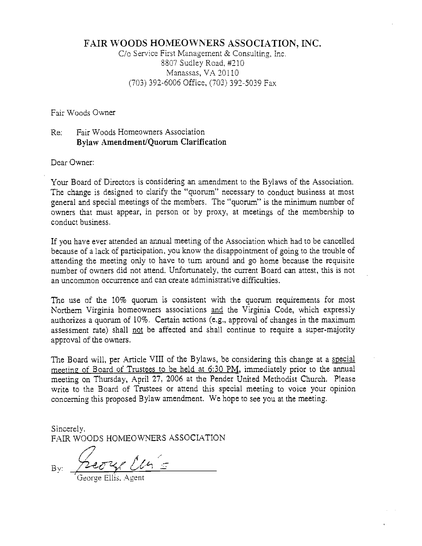### FAIR WOODS HOMEOWNERS ASSOCIATION, INC.

C/o Service First Management & Consulting, Inc. 8807 Sudley Road, #210 Manassas, VA 20110 (703) 392-6006 Office, (703) 392-5039 Fax

Fair Woods Owner

### Re: Fair Woods Homeowners Association Bylaw Amendment/Quorum Clarification

Dear Owner:

Your Board of Directors is considering an amendment to the Bylaws of the Association. The change is designed to clarify the "quorum" necessary to conduct business at most general and special meetings of the members. The "quorum" is the minimum number of owners that must appear, in person or by proxy, at meetings of the membership to conduct business.

If you have ever attended an annual meeting of the Association which had to be cancelled because of a lack of participation, you know the disappointment of going to the trouble of attending the meeting only to have to turn around and go home because the requisite number of owners did not attend. Unfortunately, the current Board can attest, this is not an uncommon occurrence and can create administrative difficulties.

The use of the 10% quorum is consistent with the quorum requirements for most Northern Virginia homeowners associations and the Virginia Code, which expressly authorizes a quorum of 10%. Certain actions (e.g., approval of changes in the maximum assessment rate) shall not be affected and shall continue to require a super-majority approval of the owners.

The Board will, per Article VIII of the Bylaws, be considering this change at a special meeting of Board of Trustees to be held at 6:30 PM, immediately prior to the annual meeting on Thursday, April 27, 2006 at the Pender United Methodist Church. Please write to the Board of Trustees or attend this special meeting to voice your opinion concerning this proposed Bylaw amendment. We hope to see you at the meeting.

Sincerely, FAIR WOODS HOMEOWNERS ASSOCIATION

 $By: \frac{122048E}{4}$ 

'George Ellis. Agent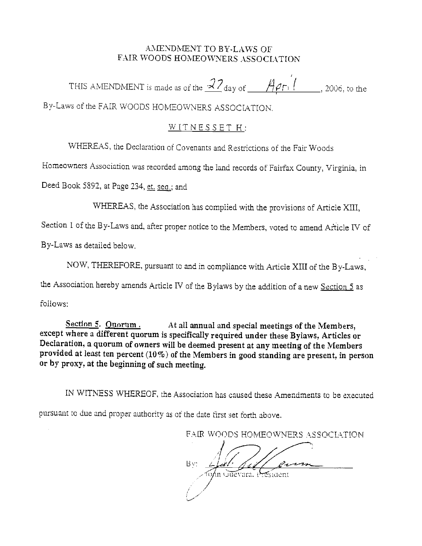### AMENDMENT TO BY-LAWS OF FAIR WOODS HOMEOWNERS ASSOCIATION

THIS AMENDMENT is made as of the  $\frac{27}{4}$  day of  $\frac{465}{1}$ , 2006, to the

By-Laws of the FAIR WOODS HOMEOWNERS ASSOCIATION.

### WITNESSET H:

WHEREAS, the Declaration of Covenants and Restrictions of the Fair Woods

Homeowners Association was recorded among the land records of Fairfax County, Virginia, in

Deed Book 5892, at Page 234, et. seq.; and

WHEREAS, the Association has complied with the provisions of Article XIII,

Section 1 of the By-Laws and, after proper notice to the Members, voted to amend Afticle IV of

By-Laws as detailed below.

NOW, THEREFORE, pursuant to and in compliance with Article XIII of the By-Laws,

the Association hereby amends Article IV of the Bylaws by the addition of a new Section 5 as

follows:

Section 5. Quorum. At all annual and special meetings of the Members, except where a different quorum is specifically required under these Bylaws, Articles or Declaration, a quorum of owners will be deemed present at any meeting of the Members provided at least ten percent (10%) of the Members in good standing are present, in person or by proxy, at the beginning of such meeting.

IN WITNESS WHEREOF, the Association has caused these Amendments to be executed pursuant to due and proper authority as of the date first set forth above.

 $I$  -  $\sim$ 

FAIP WOODS HOMEOWNERS ASSOCIATION

B': n Guevara, P esident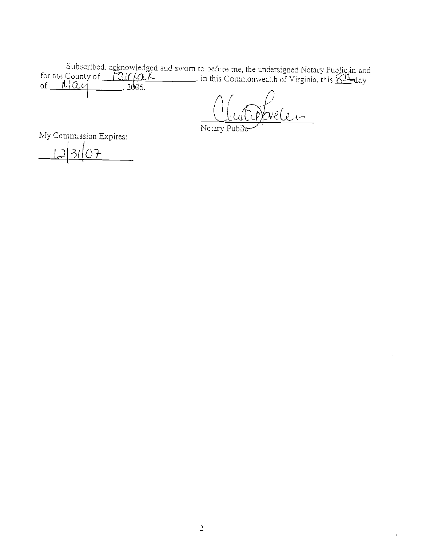Subscribed, acknowledged and sworn to before me, the undersigned Notary Public in and<br>for the County of  $\underbrace{PQif\{QLL}_{...}, \text{in this Commonwealth of Virginia, this  $\overbrace{SL}_{day}$  of  $\underline{f(QU)}_{...}, 2006$ .$ 

Notary Publ

My Commission Expires: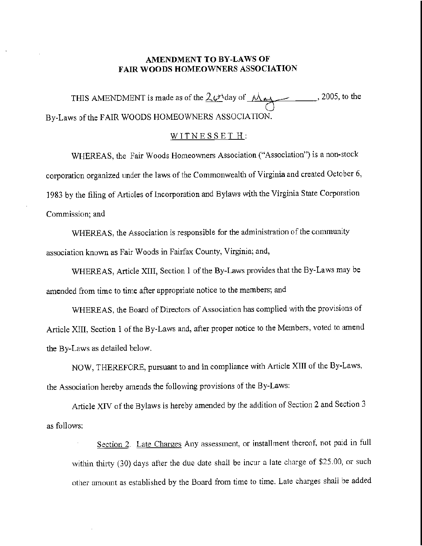### AMENDMENT TO BY-LAWS OF FAIR WOODS HOMEOWNERS ASSOCIATION

THIS AMENDMENT is made as of the  $2v\text{day of }M_{\text{rad}}$ , 2005, to the By-Laws of the FAIR WOODS HOMEOWNERS ASSOCIATION.

#### WITNESSET H:

WHEREAS, the Fair Woods Homeowners Association ("Association") is a non-stock corporation organized under the laws of the Commonwealth of Virginiaand created October 6, 1983 by the filing of Articles of Incorporation and Bylawswith the Virginia State Corporation Commission; and

WHEREAS, the Association is responsible for the administration of the community association known as Fair Woods in Fairfax County, Virginia; and,

WHEREAS, Article XIII, Section 1 of the By-Laws provides that the By-Laws may be amended from time to time after appropriate notice to the members; and

WHEREAS, the Board of Directors of Association has complied with the provisions of Article XIII, Section 1 of the By-Laws and, after propernotice to the Members, voted to amend the By-Laws as detailed below.

NOW, THEREFORE, pursuant to and in compliance with Article XIII of the By-Laws, the Association hereby amends the following provisions of the By-Laws:

Article XIV of the Bylaws is hereby amended by the addition of Section 2 and Section 3 as follows:

Section 2. Late Charges Any assessment, or installment thereof, not paid in full within thirty (30) days after the due date shall be incur a late charge of \$25.00, or such other amount as established by the Board from time to tine. Late charges shall be added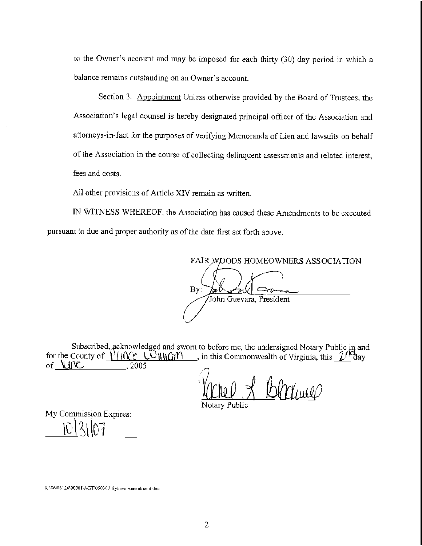to the Owner's account and way be imposed for each thirty (30) day period in which a balance remains outstanding on an Owner's account.

Section 3. Appointment Unless otherwise provided by the Board of Trustees, the Association's legal counsel is hereby designated principal officer of the Association and attorneys-in-fact for the purposes of verifying Memoranda of Lien and lawsuits on behalf of the Association in the course of collecting delinquent assessments and related interest, fees and costs.

All other provisions of Article XIV remain as written.

IN WITNESS WHEREOF, the Association has caused these Amendments tobe executed pursuant to due and proper authority as of the date first set forth above.

FAIR WOODS HOMEOWNERS ASSOCIATION Bv: John Guevara, President

Subscribed, acknowledged and sworn to before me, the undersigned Notary Public in and for the County of  $\sqrt{\frac{1}{\sqrt{2}}\sum_{i=1}^{N}$   $\frac{1}{\sqrt{2}}\sum_{i=1}^{N}$  in this Commonwealth of Virginia, this  $\sqrt{2}$   $\sqrt{2}$  ay of  $\sqrt{2}$   $\sqrt{2}$ 

Vachel & Blackweep

My Commission Expires:

K;\06\06126\00001\AGT\050307 Bylaws Amendment.doc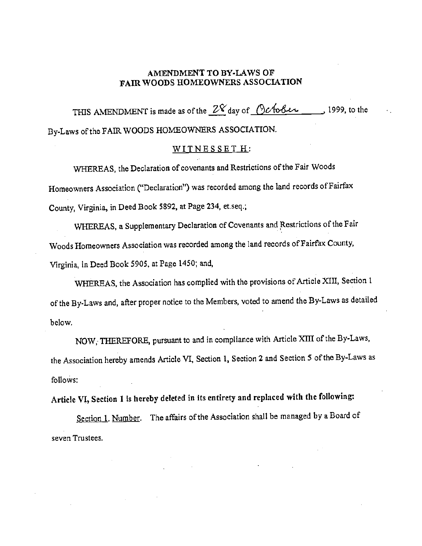### AMENDMENT TO BY-LAWS OF FAIR WOODS HOMEOWNERS ASSOCIATION

THIS AMENDMENT is made as of the  $2\frac{8}{199}$  day of  $\bigcirc$  b follow 1999, to the By-Laws of the FAIR WOODS HOMEOWNERS ASSOCIATION.

### WITNES SET H:

WHEREAS, the Declaration of covenants and Restrictions of the Fair Woods Homeowners Association ("Declaration") was recorded among the land records of Fairfax County, Virginia, in Deed Book 5892, at Page 234, et.seq.;

WHEREAS, a Supplementary Declaration of Covenants and Restrictions of the Fair Woods Homeowners Association was recorded among the land records of Fairfax County, Virginia, in Deed Book 5905, at Page 1450; and,

WHEREAS, the Association has complied with the provisions of Article XIII, Section 1 of the By-Laws and, after proper notice to the Members, voted to amend the By-Laws as detailed below.

NOW, THEREFORE, pursuant to and in compliance with Article XIII of the By-Laws, the Association hereby amends Article VI, Section 1, Section 2 and Section 5 ofthe By-Laws as follows:

Article VI, Section 1 is hereby deleted in its entirety and replaced with the tollowing:

Section 1. Number. The affairs of the Association shall be managed by a Board of seven Trustees.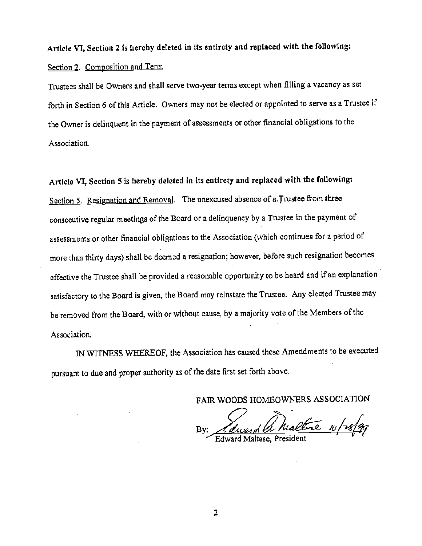Article VI, Section 2 is hereby deleted in its entirety and replaced with the following: Section 2. Composition and Term

Trustees shall be Owners and shall serve two-year terms except when filling a vacancy as set forth in Section 6 of this Article. Owners may not be elected or appointed to serve as a Trustee if the Owner is delinquent in the payment of assessments or other financial obligations to the Association.

Article VI, Section 5 is hereby deleted in its entirety and replaced with the following: Section 5. Resignation and Removal. The unexcused absence of a.Trustee from three consecutive regular meetings of the Board or a delinquency by a Trustee in the payment of assessments or other financial obligations to the Association (which continues for a periodof more than thirty days) shall be deemed a resignation; however, before such resignationbecomes effective the Trustee shall be provided a reasonable opportunity to be heard and if an explanation satisfactory to the Board is given, the Board may reinstate the Trustee. Any elected Trustee may be removed from the Board, with or without cause, by a majority vote of the Members of the Association.

IN WITNESS WHEREOF, the Association has caused these Amendments to be executed pursuant to due and proper authority as of the date first set forth above.

FAIR WOODS HOMEOWNERS ASSOCIATION

the 10/28/99 By: *Calward VO Mall*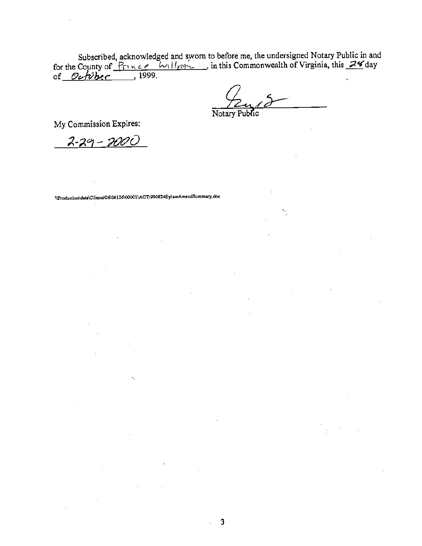Subscribed, acknowledged and sworn to before me, the undersigned Notary Public in and<br>for the County of  $\frac{P_{\text{TV}} \times e^{-\frac{L}{\text{V}} \cdot ||_{\text{V}}}}{1999}$ , in this Commonwealth of Virginia, this 24 day<br>of  $\frac{\partial \omega f}{\partial \text{h}}$ 

 $\mathcal{L}$ 

 $\sim$   $\sim$ 

 $\sim 10^{-1}$ 

Notary Public

٦.

 $\Delta \sim 10^4$ 

My Commission Expires:

<u> 2-29 - 2000</u>

\\Production\data\Clienta\06\06126\00001\AGT\990824BylawAmendSummary.doc

k,

 $\mathcal{L}^{\text{max}}_{\text{max}}$ 

 $\frac{1}{2}$ 

 $\bar{z}$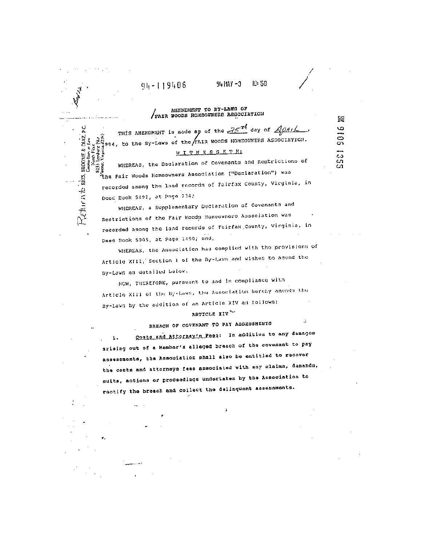# NIENDMENT TO BY-LAWS OF WALK WOODS HOMEOWERS ASSOCIATION

 $91 - 119406$ 

DIAZ.

 $R_{\ell}$ turnte des moons  $\ell$ 

 $\frac{3}{3}$ á

813)<br>Venne

Μ.

94 MAY -3

ID: 58

经

9016

្អី និង

J.

THIS AMENDMENT is made as of the 35th day of Apack Sess, to the By-Laws of the FAIR WOODS HOMEOWNERS ASSOCIATION.

#### <u>WITHESSETH</u>

WHEREAS, the Declaration of Covenants and Restrictions of the Fair Woods Homeowners Association ("Declaration") was recorded among the land records of Fairfax County, Virginia, in Doed Book 5802, at Page 214;

WHEREAS, a Supplementary Declaration of Covenants and Restrictions of the Fair Woods Homeownero Association was recorded among the land records of Fairfax County, Virginia, in Deed Book 5905, at Page 1450; and,

WHEREAS, the Association has complied with the provisions of Article XIII, Section 1 of the By-Laws and wishes to amend the By-Laws as detailed below.

NOW, THEREFORE, pursuant to and in compliance with

Article XIII of the By-Laws, the Association hereby amends the By-Laws by the addition of an Article XIV as follows:

#### ARTICLE XIV"

BREACH OF COVENANT TO PAY ABBESSMENTS

Costs and Attorney's Peas: In addition to any damages  $\mathbf{1}$ arising out of a Hember's alleged breach of the covenant to pay assessments, the Association shall also be entitled to redover the costs and attorneys fees associated with any claims, demands, suits, actions or proceedings undertaken by the Association to rectify the breach and collect the delinquent assessments.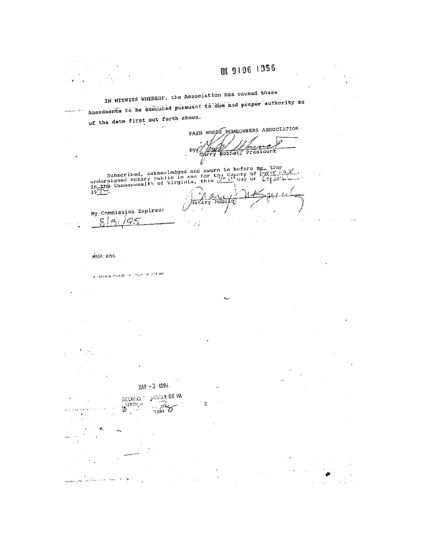IN WITNESS WHEREOF, the Association has caused these Amendments to be executed pursuant to due and proper authority as  $\alpha\gamma$  as of the date first set forth above.

FAIR WOODS HOMEOWNERS ASSOCIATION By (Hugh Konnat) À. President

subscribed, acknowledged and sworn to before me, the undersigned Betary Public in and for the county of  $\frac{7a1Y}{x^2}$ .

 $\overline{\mathcal{F}}$ 

 $\frac{1}{\sqrt{10}}$ एको (व)

HIIR: aho

8  $\mathcal{Z}_{l}$ 

R TRELADA CUSSION TATUALLA DE 253 APO

 $38Y - 3/1994$ 

RECORDIO  $z^{\rm multi}_{\rm 2}$ 

-99

والمستراء والمتأثرة ويستهدمهم

**ARWAX CO VA** 

 $\mathcal{F}$ Z **TLERX** 

2

My Commission Expires:  $'Q$  $\subset$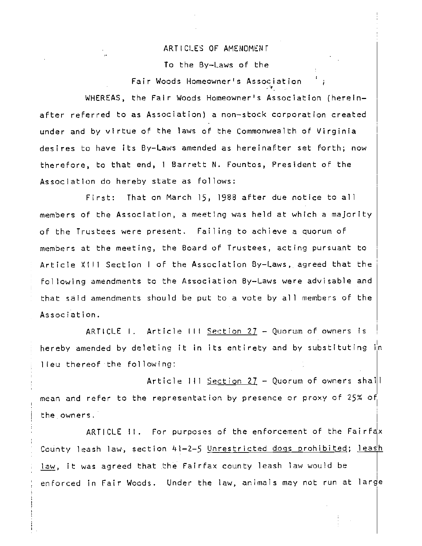#### ARTICLES OF AMENDMENT

To the By—Laws of the

Fair Woods Homeowner's Association

WHEREAS, the Fair Woods Homeowner's Association (hereinafter referred to as Association) a non—stock corporation created under and by virtue of the laws of the Commonwealth of Virginia desires to have its By—Laws amended as hereinafter set forth; now therefore, to that end, I Barrett N. Fountos, President of the Association do hereby state as follows:

First: That on March 15, 1988 after due notice to all members of the Association, a meeting was held at which a majority of the Trustees were present. Failing to achieve a quorum of members at the meeting, the Board of Trustees, acting pursuant to Article X II Section I of the Association By—Laws, agreed that the fol lowing amendments to the Association By—Laws were advisable and that said amendments should be put to a vote by all members of the Association.

ARTICLE I. Article lit Section 27 — Quorum of owners is hereby amended by deleting it in its entirety and by substituting in lieu thereof the following:

Article III <u>Section 27</u> - Quorum of owners shall mean and refer to the representation by presence or proxy of 25% of the owners.

ARTICLE  $\mathbb{H}$ . For purposes of the enforcement of the Fairfax County leash law, section 41-2-5 Unrestricted dogs prohibited; leash law, it was agreed that the Fairfax county leash law would be enforced in Fair Woods. Under the law, animals may not run at large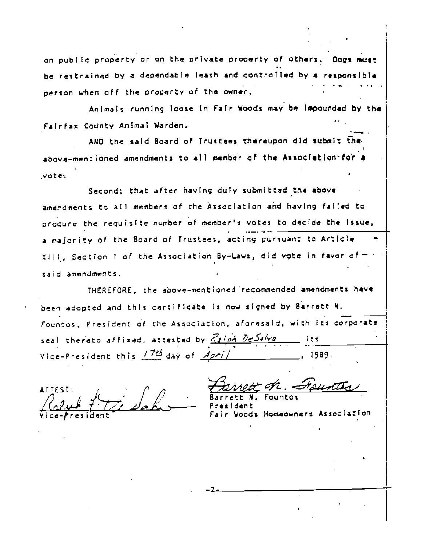on public property or on the private property of others. Dogs must be restrained by a dependable leash and controlled by a responsible person when 0fF the property of the owner. . .

Animals running loose In Fair Woods may be imocunded by the Fairfax County Animal Warden.

AND the said Board of Trustees thereupon did submit the above-mentioned amendments to all member of the Association for a vote

Second; that after having duly submitted the above amendments to all members of the Association and having failed to procure the requisite number of member's votes to decide the Issue, a majority of the Board of Trustees, acting pursuant to Article XIII, Section I of the Association By—Laws, did vqte In favor cf said amendments.

THEREFORE, the above-mentioned recommended amendments have been adopted and this certiflcate is now signed by Barrett N. Fountos, President of the Association, aforesaid, wth its corporate seal thereto affixed, attested by  $\frac{Z_2}{\sqrt{24}}$   $\frac{Z_3}{\sqrt{24}}$  its Vice-President this  $/746$  day of  $Apri/$ 

 $\mathcal{D}_{a}$  is  $\mathcal{D}_{b}$  ,  $\mathcal{D}_{c}$  $\frac{1}{1}$ .  $\frac{1}{1}$   $\frac{1}{2}$   $\frac{1}{2}$   $\frac{1}{2}$   $\frac{1}{2}$   $\frac{1}{2}$   $\frac{1}{2}$   $\frac{1}{2}$   $\frac{1}{2}$   $\frac{1}{2}$   $\frac{1}{2}$   $\frac{1}{2}$   $\frac{1}{2}$   $\frac{1}{2}$   $\frac{1}{2}$   $\frac{1}{2}$   $\frac{1}{2}$   $\frac{1}{2}$   $\frac{1}{2}$   $\frac{1}{2}$   $\frac{1}{2}$ 

ATTEST; / i44e-. —4-iz.—

Woods Homeowners Association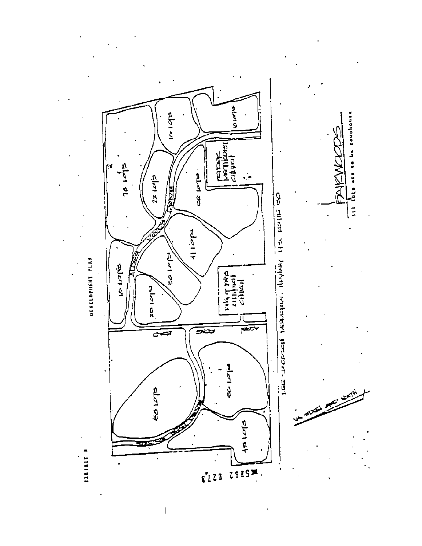

 $\mathbf{I}$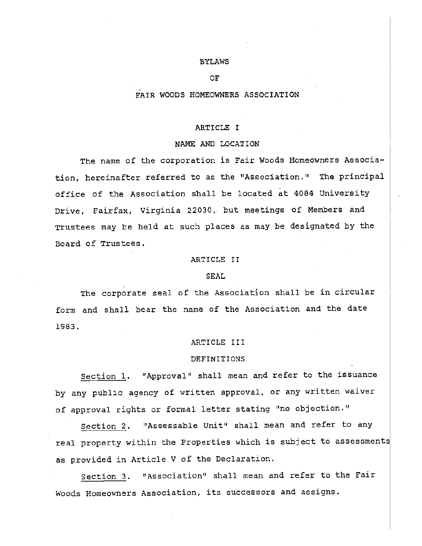#### BYLAWS

#### OF

#### FAIR WOODS HOMEOWNERS ASSOCIATION

#### ARTICLE I

#### NAME AND LOCATION

The name of the corporation is Fair Woods Homeowners Association, hereinafter referred to as the "Association." The principal office of the Association shall be located at 4084 University Drive, Fairfax, Virginia 22030, but meetings of Members and Trustees may be held at such places as nay be designated by the Board of Trustees.

### ARTICLE II

#### SEAL

The corporate seal of the Association shall be in circular form and shall bear the name of the Association and the date 1g83.

#### ARTICLE III

#### DEFINITIONS

Section 1. 'Approval" shall mean and refer to the issuance by any public agency of written approval, or any written waiver of approval rights or formal letter stating "no objection."

Section 2. "Assessable Unit" shall mean and refer to any real property within the Properties which is subject to assessments as provided in Article V of the Declaration.

section 3. 'Association' shall mean and refer to the Fair Woods Homeowners Association, its successors and assigns.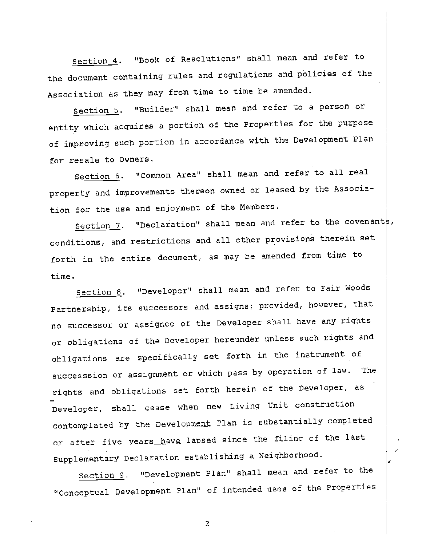Section 4. "Book of Resolutions" shall mean and refer to <u>the</u> the document containing rules and regulations and policies of the Association as they may from time to time be amended.

I.

Section 5. "Builder" shall mean and refer to a person or entity which acquires a portion of the Properties for the purpose of improving such portion in accordance with the Development Plan for resale to Owners.

<u>I</u>OI section 6. "Common Area" shall mean and refer to all real property and improvements thereon owned or leased by the Association for the use and enjoyment of the Members.

> Section 7. "Declaration" shall mean and refer to the covenants, conditions, and restrictions and all other provisions therein set forth in the entire document, as may be amended from time to time.

Section 8. "Developer" shall mean and refer to Fair Woods Partnership, its successors and assigns; provided, however, that no successor or assignee of the Developer shall have any rights or obligations of the Developer hereunder unless such rights and obligations are specifically set forth in the instrument of successsion or assignment or which pass by operation of law. The rights and obliqations set forth herein of the Developer, as Developer, shall cease when new Living Unit construction contemplated by the Development Plan is substantially completed or after five years have lapsed since the filing of the last Supplementary Declaration establishing a Neighborhood.

section g. "Development Plan" shall mean and refer to the conceptual Development Plan" of intended uses of the Properties **Z** Andrew Control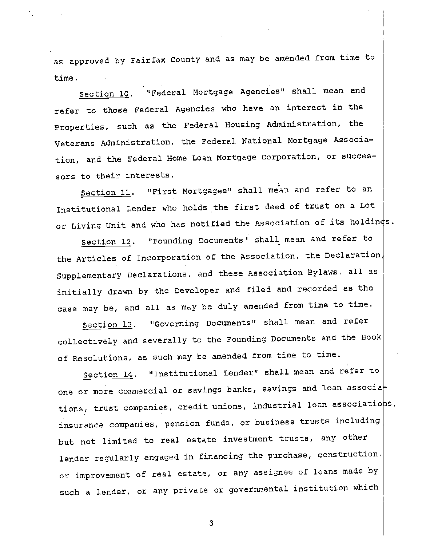as approved by Fairfax County and as may be amended from time to time.

Section lo. "Federal Mortgage Agencies" shall mean and refer to those Federal Agencies who have an interest in the Properties, such as the Federal Housing Administration, the Veterans Administration, the Federal National Mortgage Association, and the Federal Home Loan Nortgage Corporation, or successors to their interests.

Section 11. "First Mortgagee" shall mean and refer to an Institutional Lender who holds the first deed of trust on a Lot or Living Unit and who has notified the Association of its holdings.

Section 12. "Founding Documents" shall mean and refer to the Articles of Incorporation of the Association, the Declaration Supplementary Declarations, and these Association Bylaws, all as initially drawn by the Developer and filed and recorded as the case may be, and all as may be duly amended from time to time.

Section 13. "Governing Documents" shall mean and refer collectively and severally to the Founding Documents and the Book of Resolutions, as such may be amended from time to time.

section 14. 'institutional Lender" shall mean and refer to one or more commercial or savings banks, savings and loan associa tions, trust companies, credit unions, industrial loan associations, insurance companies, pension funds, or business trusts including but not limited to real estate investment trusts, any other lender regularly engaged in financing the purchase, construction, or improvement of real estate, or any assignee of loans made by such a lender, or any private or governmental institution which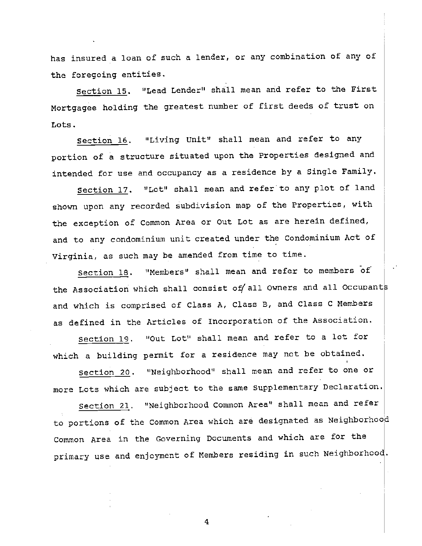has insured a loan of such a lender, or any combination of any of the foregoing entities.

Section 15. "Lead Lender" shall mean and refer to the First Nortgagee holding the greatest number of first deeds of trust on Lots.

Section 16. "Living Unit" shall mean and refer to any portion of a structure situated upon the Properties designed and intended for use and occupancy as a residence by a Single Family.

Section 17. "Lot" shall mean and refer to any plot of land shown upon any recorded subdivision map of the Properties, with the exception of Common Area or Out Lot as are herein defined, and to any condominium unit created under the Condominium Act of Virginia, as such may be amended from time to time.

Section 18. "Members" shall mean and refer to members of the Association which shall consist of all Owners and all Occupants and which is comprised of Class A, Class B, and Class C Members as defined in the Articles of Incorporation of the Association.

Section 19. "Out Lot" shall mean and refer to a lot for which a building permit for a residence may not be obtained.

Section 20. 'Neighborhood" shall mean and refer to one or more Lots which are subject to the same Supplementary Declaration.

section 21. "Neighborhood Common Area" shall mean and refer to portions of the Common Area which are designated as Neighborhoo Common Area in the Governing Documents and which are for the primary use and enjoyment of Members residing in such Neighborhood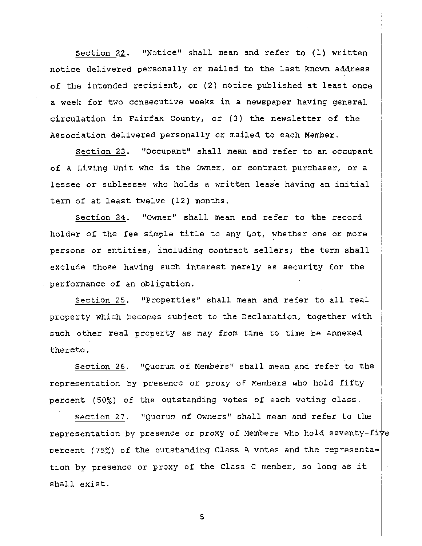Section 22. "Notice" shall mean and refer to (1) written  $\mathcal{L} = \mathcal{L}$ notice delivered personally or mailed to the last known address of the intended recipient, or (2) notice published at least once en de la construction de la construction de la construction de la construction de la construction de la constr<br>Il décrit de la construction de la construction de la construction de la construction de la construction de la <sup>a</sup> week for two consecutive weeks in a newspaper having general circulation in Fairfax County, or (3) the newsletter of the Association delivered personally or mailed to each Member.

In the Contract of the Contract of the Contract of the Contract of the Contract of the Contract of the Contract of the Contract of the Contract of the Contract of the Contract of the Contract of the Contract of the Contrac Section 23. "Occupant" shall mean and refer to an occupant of a Living Unit who is the Owner, or contract purchaser, or a **International Contract** lessee or sublessee who holds a written leas'e having an initial term of at least twelve (12) months.

Section 24. "Owner" shall mean and refer to the record  $\mathbf{I}$ holder of the fee simple title to any Lot, whether one or more persons or entities, including contract sellers; the term shall ian di Serbia.<br>Indonesia exclude those having such interest merely as security for the performance of an obligation.

> Section 25. "Properties" shall mean and refer to all real property which becomes subject to the Declaration, together with such other real property as may from time to time be annexed thereto.

<u>i</u> Section 26. "Quorum of Members" shall mean and refer to the **I** representation by presence or proxy of Members who hold fifty percent (50%) of the outstanding votes of each voting class.

> Section 27. "Quorum of Owners" shall mean and refer to the representation by presence or proxy of Members who hold seventy-five Dercent (75%) of the outstanding Class A votes and the representation by presence or proxy of the Class C member, so long as it shall exist.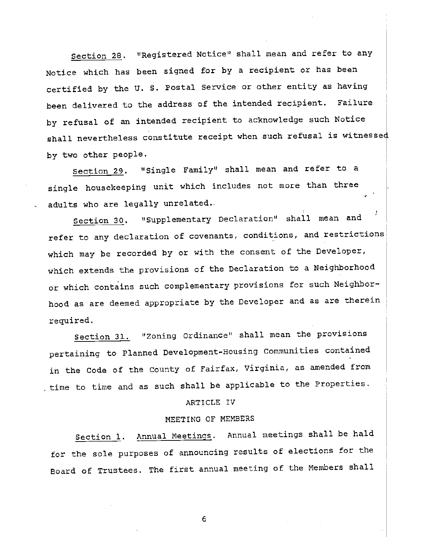Section 28. "Registered Notice" shall mean and refer to any Notice which has been signed for by a recipient or has been certified by the U. S. Postal Service or other entity as having been delivered to the address of the intended recipient. Failure  $\qquad \qquad \mid$ shall nevertheless constitute receipt when such refusal is witnessed by refusal of an intended recipient to acknowledge such Notice by two other people.

> Section 29. "single Family" shall mean and refer to a single housekeeping unit which includes not more than three adults who are legally unrelated..

Section 30. "supplementary Declaration" shall mean and refer to any declaration or covenants, conditions, and restrictions<br>which may be recorded by or with the consent of the Developer, refer to any declaration of covenants, conditions, and restrictions which extends the provisions of the Declaration to a Neighborhood and the set of the set of the set of the set of the set of the set of the set of the set of the set of the set of the set of the set of the set of the set o hood as are deemed appropriate by the Developer and as are therein  $\bigg|$ or which contains such complementary provisions for such Neighborrequired.

nd og større for de formelige for de formelige for de formelige for de formelige for de formelige for de forme<br>I 1990 en de formelige formelige formelige formelige for de formelige for de formelige for de formelige for de<br> section 31. "Zoning Ordinance" shall mean the provisions pertaining to Planned Development-Housing Communities contained , time to time and as such shall be applicable to the Properties.  $\frac{1}{1}$ in the Code of the County of Fairfax, Virginia, as amended from

#### ARTICLE IV

#### MEETING OF MEMBERS

Section 1. Annual Meetings. Annual meetings shall be hald Board of Trustees. The first annual meeting of the Members shall for the sole purposes of announcing results of elections for the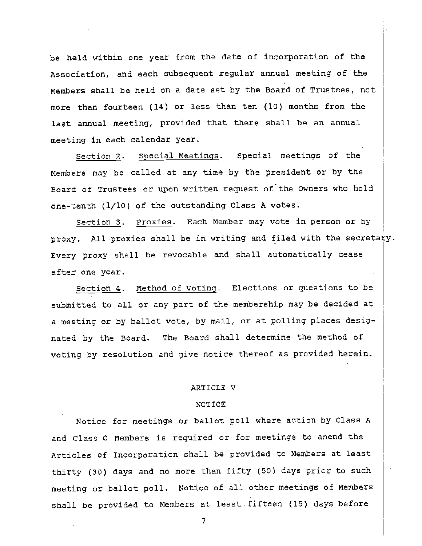be held within one year from the date of incorporation of the Association, and each subsequent regular annual meeting of the Members shall be held on a date set by the Board of Trustees, not more than fourteen (14) or less than ten (10) months from the last annual meeting, provided that there shall be an annual meeting in each calendar year.

Section 2. special Meetings. Special meetings of the Members may be called at any time by the president or by the Board of Trustees or upon written request of the Owners who hold. one-tenth (1/10) of the outstanding Class A votes.

Section 3. Proxies. Each Member may vote in person or by proxy. All proxies shall be in writing and filed with the secretary. Every proxy shall be revocable and shall automatically cease after one year.

Section 4. Method of Voting. Elections or questions to be submitted to all or any part of the membership may be decided at a meeting or by ballot vote, by mail, or at polling places designated by the Board. The Board shall determine the method of voting by resolution and give notice thereof as provided herein.

#### ARTICLE V

#### NOTICE

Notice for meetings or ballot poll where action by Class A and Class C Members is required or for meetings to amend the Articles of Incorporation shall be provided to Members at least thirty (30) days and no more than fifty (50) days prior to such meeting or ballot poll. Notice of all other meetings of Members shall be provided to Members at least fifteen (15) days before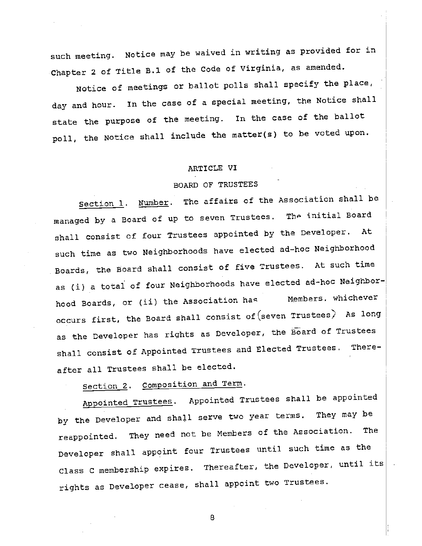such meeting. Notice may be waived in writing as provided for in Chapter 2 of Title B.1 of the Code of Virginia, as amended.

Notice of meetings or ballot polls shall specify the place, day and hour. In the case of a special meeting, the Notice shall state the purpose of the meeting. In the case of the ballot poll, the Notice shall include the matter(s) to be voted upon.

#### ARTICLE VI

### BOARD OF TRUSTEES

Section 1. Number. The affairs of the Association shall be managed by a Board of up to seven Trustees. The initial Board shall consist of four Trustees appointed by the Developer. At such time as two Neighborhoods have elected ad—hoc Neighborhood Boards, the Board shall consist of five Trustees. At such time as (i) a total of four Neighborhoods have elected ad—hoc Neighborhood Boards, or (ii) the Association has **Members**. whichever occurs first, the Board shall consist of (seven Trustees) As long as the Developer has rights as Developer, the Board of Trustees shall consist of Appointed Trustees and Elected Trustees. Thereafter all Trustees shall be elected.

Section 2. composition and Term.

Appointed Trustees. Appointed Trustees shall be appointed by the Developer and shall serve two year terms. They may be reappointed. They need not be Members of the Association. The Developer shall appoint four Trustees until such time as the Class c membership expires. Thereafter, the Developer, until its rights as Developer cease, shall appoint two Trustees.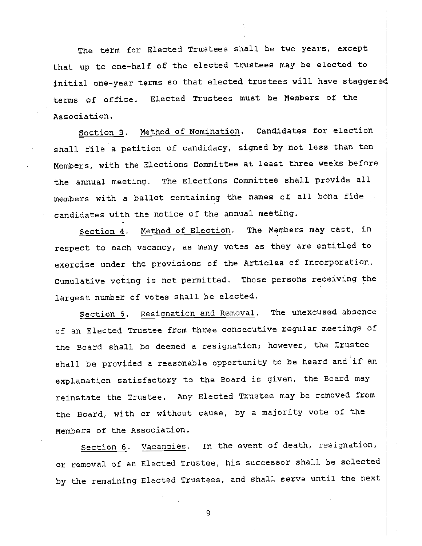The term for Elected Trustees shall be two years, except that up to one-half of the elected trustees may be elected to initial one-year terms so that elected trustees will have staggered terms of office. Elected Trustees must be Members of the Association.

Section 3. Nethod of Nomination. Candidates for election shall file a petition of candidacy, signed by not less than ten Members, with the Elections Committee at least three weeks before the annual meeting. The Elections Committee shall provide all members with a ballot containing the names of all bona fide candidates with the notice of the annual meeting.

Section 4. Method of Election. The Members may cast, in respect to each vacancy, as many votes as they are entitled to exercise under the provisions of the Articles of Incorporation. Cumulative voting is not permitted. Those persons receiving the largest number of votes shall be elected.

Section 5. Resignation and Removal. The unexcused absence of an Elected Trustee from three consecutive regular meetings of the Board shall be deemed a resignation; however, the Trustee shall be provided a reasonable opportunity to be heard and if an explanation satisfactory to the Board is given, the Board may reinstate the Trustee. Any Elected Trustee may be removed from the Board, with or without cause, by a majority vote of the Members of the Association.

Section 6. vacancies. In the event of death, resignation, or removal of an Elected Trustee, his successor shall be selected by the remaining Elected Trustees, and shall serve until the next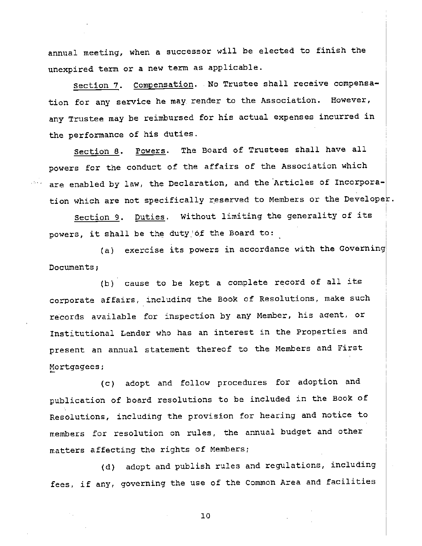annual meeting, when a successor will be elected to finish the unexpired term or a new term as applicable.

Section 7. Compensation. No Trustee shall receive compensation for any service he may render to the Association. However, any Trustee may be reimbursed for his actual expenses incurred in the performance of his duties.

Section 8. Powers. The Board of Trustees shall have all powers for the conduct of the affairs of the Association which are enabled by law, the Declaration, and the Articles of Incorporation which are not specifically reserved to Members or the Developer.

section 9. Duties, Without limiting the generality of its powers, it shall be the duty of the Board to:

(a) exercise its powers in accordance with the Governing Documents;

(b) cause to be kept a complete record of all its corporate affairs, includinq the Book of Resolutions, make such records available for inspection by any Member, his aqent, or Institutional Lender who has an interest in the Properties and present an annual statement thereof to the Members and First Nortgagees;

(c) adopt and follow procedures for adoption and publication of board resolutions to be included in the Book of Resolutions, including the provision for hearing and notice to members for resolution on rules, the annual budget and other matters affecting the rights of Members;

(d) adopt and publish rules and regulations, including fees, if any, governing the use of the Common Area and facilities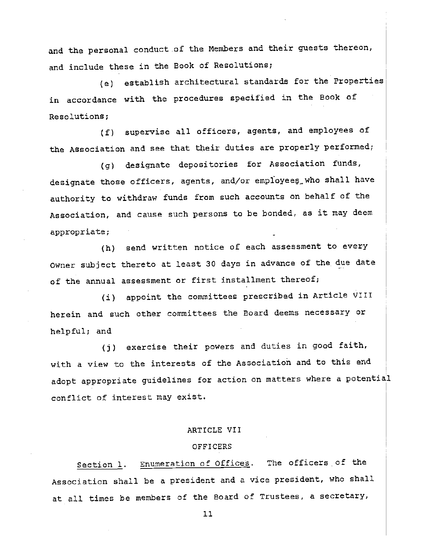and the personal conduct of the Members and their guests thereon, and include these in the Book of Resolutions;

(e) establish architectural standards for the Properties in accordance with the procedures specified in the Bock of Resolutions;

(f) supervise all officers, agents, and employees of the Association and see that their duties are properly performed;

(g) designate depositories for Association funds, designate those officers, agents, and/or employees who shall have authority to withdraw funds from such accounts on behalf of the Association, and cause such persons to be bonded, as it may deem appropriate;

(h) send written notice of each assessment to every Owner subject thereto at least 30 days in advance of the due date of the annual assessment or first installment thereof;

(i) appoint the committees prescribed in Article VIII herein and such other committees the Board deems necessary or helpful; and

(j) exercise their powers and duties in good faith, with a view to the interests of the Association and to this end adopt appropriate guidelines for action on matters where a potential conflict of interest nay exist.

#### ARTICLE VII

#### **OFFICERS**

section 1. Enumeration of Offices. The officers of the Association shall be a president and a vice president, who shall at all times be members of the Board of Trustees, a secretary.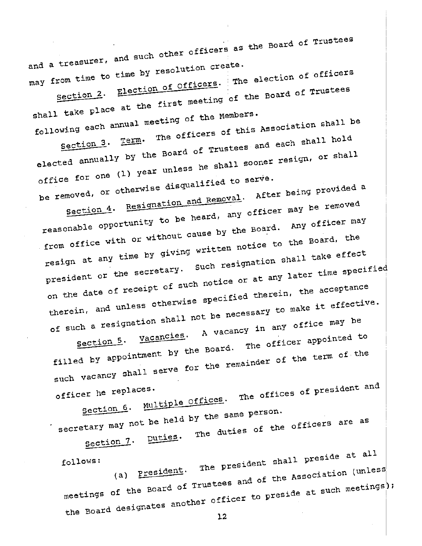$\label{eq:2.1} \frac{1}{2} \sum_{i=1}^n \frac{1}{2} \sum_{j=1}^n \frac{1}{2} \sum_{j=1}^n \frac{1}{2} \sum_{j=1}^n \frac{1}{2} \sum_{j=1}^n \frac{1}{2} \sum_{j=1}^n \frac{1}{2} \sum_{j=1}^n \frac{1}{2} \sum_{j=1}^n \frac{1}{2} \sum_{j=1}^n \frac{1}{2} \sum_{j=1}^n \frac{1}{2} \sum_{j=1}^n \frac{1}{2} \sum_{j=1}^n \frac{1}{2} \sum_{j=1}^n \frac{$ and a treasurer, and such other officers as the Board of Trustees as may *rrom* from time to time by resolution create.<br>from time to time by resolution create. The election of officers

I section 2. Election of Officers. section 2. Election contracting of the Board of Trustees<br>shall take place at the first meeting of the Members. shall cane.<br>
I following each annual meeting of the Members.<br>
Term. The officers of this Associat shall be a shift of the shall be a set of  $\mathbb{R}^n$ 

elected annually by the wing each and the officers of this Association.<br>Section 3. Term. The officers of this Association shall hold by the Board of Trustees and each shall hold<br>by the Board of Trustees and each shall hold office for one (1) year answer unless he shall sooner row of  $resigm, or shall$ to serve.

be removed, or otherwise disqualified of the removed. Section 4. Resignation and Removal. After being From New provided a | reasonable opportunity to be a second. Any officer may<br>from office with or without cause by the Board, the Board, the reasonable opportunity to be heard, any officer may be removed resign at any time by giving written notice to the Board, the president or the secretary. Such resignation shall take effect | president or the secretary.<br>on the date of receipt of such notice or at any later time specified<br>are enecified therein, the acceptance of such a resignation shall no therein, and unless otherwise specified therein, the acceptance shall not be necessary to make it effective.  $V_{\text{vacancies}}$ . A vacancy in any office may be  $V_{\text{vacancies}}$ .

filled by appointment by the bod-Section 5. National the Board. The officer appear appointed to | such vacancy --ointment by the best emainder of the term of the and

officer he replaces. section 6. Multiple essential  $\text{Offices.}$  The offices of  $\text{presuence}$ 

secretary may not be held by the same person. not be held by the same person.<br>E the officer tary may not --<br>Section 7. Duties. The duties of the officers are are as

follows:<br>(a) <u>President</u>. The president shall President (a) (a) the state of the state of the state of the state of the state of the state of the state of the state of the state of the state of the state of the state of th shall preside at at all  $|$ meetings of the Board of Trustees and and of the Association (unless) the Board designates in another officer to preside at such meetings;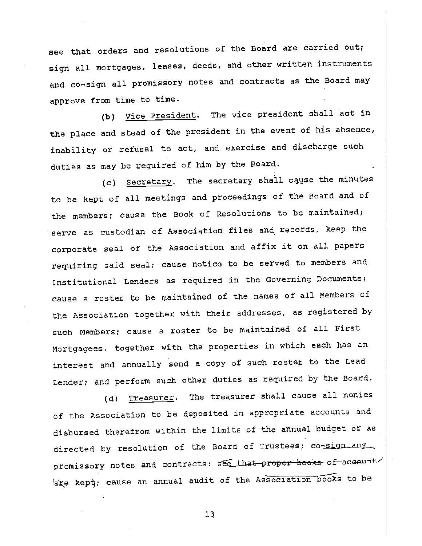see that orders and resolutions of the Board are carried out; sign all mortgages, leases, deeds, and other written instruments and co—sign all promissory notes and contracts as the Board may approve from time to time.

I.

(b) Vice President. The vice president shall act in the place and stead of the president in the event of his absence, i duties as may be required of him by the Board. inability or refusal to act, and exercise and discharge such

(c) Secretary. The secretary shall cause the minutes to be kept of all meetings and proceedings of the Board and of the members; cause the Book of Resolutions to be maintained; corporate seal of the Association and affix it on all papers  $\qquad \qquad \mid$ serve as custodian of Association files and, records, keep the requiring said seal; cause notice to be served to members and Institutional Lenders as required in the Governing Documents; cause a roster to be maintained of the names of all Members of such Members; cause a roster to be maintained of all First  $\qquad \qquad \mid$ the Association together with their addresses, as registered by Mortgagees, together with the properties in which each has an interest and annually send a copy of such roster to the Lead Lender; and perform such other duties as required by the Board.

of the Association to be deposited in appropriate accounts and  $\qquad \qquad \mid$ (d) Treasurer. The treasurer shall cause all monies <u>In the Common State</u> disbursed therefrom within the limits of the annual budget or as directed by resolution of the Board of Trustees; co<del>-sign any</del> promissory notes and contracts; see that  $a$ re kept; cause an annual audit of the Association books to be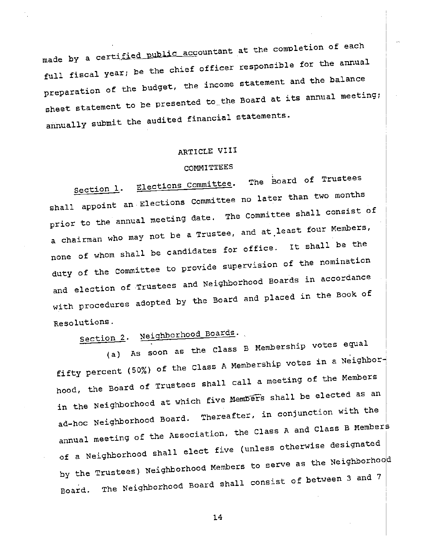made by a certified burned for \_acçoUfltan at the completion of each full fiscal year; be the chief 0fficer responsible for the annual preparation of the budget, the income statement and the balance sheet statement to be presented to the Board at its annual meeting; annuallY submit the audited financial statements.

### ARTICLE VIII

COMMITTEES<br>Committee, The Board of Trustees Section 1. Elections Committee. The Board of Trustees shall appoint an electron Elections Committee no later than two months prior to the annual meeting date. The Committee shall consist of a chairman who may not be a Trustee, and at least four Members, none of whom shall be candidates for office, it shall be the duty of the Committee to provide supervis supervision of the nomination  $\vert$ and election of Trustees and Neighborhood Boards in accordance with procedures adopted by the Board and placed in the Book of Resolutions.

section 2. Neighborhood Boards.

(a) As soon as the Class B Membership votes equal fifty percent (50%) of the Class A Membership votes in a Neighborhood, the Board of Trustees shall call a meeting of the Members in the Neighborhood at which five Members shall be elected as an ad—hoc Neighborhood Board. Thereafter, in conjunction with the annual meeting of the Association, the Class A and Class B Members of a Neighborhood shaii ci shall elect five (unless otherwise designated  $\big\vert$ by the Trustees) Neighborhood Members to serve as the Neighborhood Board. The Neighborhood Board shall consist of between 3 and 7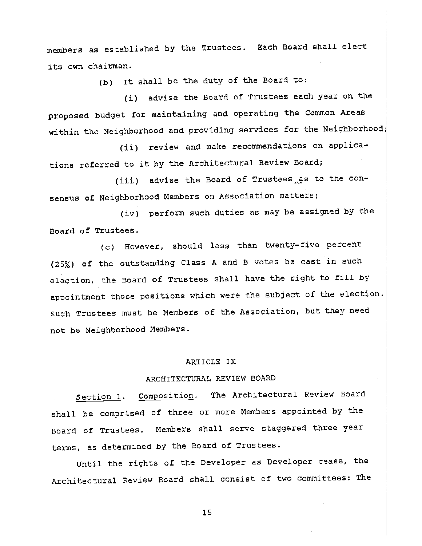members as established by the Trustees. Each Board shall elect its own chairman.

(b) It shall be the duty of the Board to:

(i) advise the Board of Trustees each year on the proposed budget for maintaining and operating the Common Areas within the Neighborhood and providing services for the Neighborhood,

(ii) review and make recommendations on applications referred to it by the Architectural Review Board;

 $(iii)$  advise the Board of Trustees as to the consensus of Neighborhood Members on Association matters;

(iv) perform such duties as may be assigned by the Board of Trustees.

(c) However, should less than twenty—five percent (25%) of the outstanding Class A and B votes be cast in such election, the Board of Trustees shall have the right to fill by appointment those positions which were the subject of the election. Such Trustees must be Members of the Association, but they need not be Neighborhood Members.

### ARTICLE IX

### ARCHITECTURAL REVIEW BOARD

Section 1. Composition. The Architectural Review Board shall be comprised of three or more Members appointed by the Board of Trustees. Members shall serve staggered three year terms, as determined by the Board of Trustees.

Until the rights of the Developer as Developer cease, the Architectural Review Board shall consist of two committees: The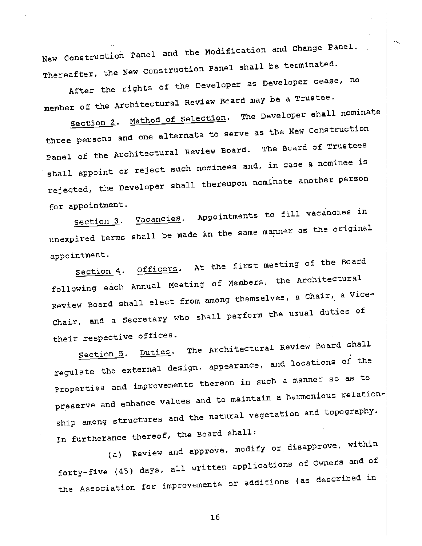New Construction Panel and the Modification and Change Panel. Thereafter, the New construction panel shall be terminated.

After the rights of the Developer as Developer cease, no member of the Architectural Review Board may be a Trustee.

Section 2. Method of Selection. The Developer shall nominate three persons and one alternate to serve as the New Construction Panel of the Architectural Review Board. The Board of Trustees shall appoint or reject such nominees and, in case a nominee is rejected, the Developer shall thereupon nominate another person for appointment.

Section 3. Vacancies. Appointment Appointments to fill vacancies in unexpired terms shall be made in the same manner as the original

appointment.<br>Section 4. Officers. At the first meeting of the Board following each Annual Meeting of Members, the Architectural Review Board shall elect from among themselves, a Chair, a Vice— Chair, and a Secretary who shall perform the usual duties of their respective offices.

Section 5. Duties. The Architectural Review Board shall  $\begin{bmatrix} 1 & 0 & 0 \\ 0 & 0 & 0 \\ 0 & 0 & 0 \end{bmatrix}$ regulate the external design, appearance, and read and locations of the Properties and improvements thereon in such a manner so as to preserve and enhance values and to maintain a harmonious relationship among structures and the natural vegetation and topography. In furtherance thereof, the Board shall:

(a) Review and approve, modify or disapprove, within forty—five (45) days, all written applications of Owners and of the Association for improvements or additions (as described in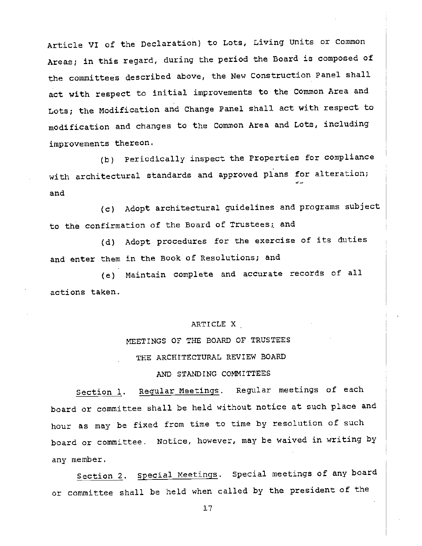Article VI of the Declaration) to Lots, Living Units or Conmon Areas; in this regard, during the period the Board is composed of the committees described above, the New Construction Panel shall act with respect to initial improvements to the Common Area and Lots; the Modification and Change Panel shall act with respect to modification and changes to the Common Area and Lots, including improvements thereon.

(b) Periodically inspect the Properties for compliance with architectural standards and approved plans for alteration; and

(c) Adopt architectural guidelines and programs subject to the confirmation of the Board of Trustees; and

(d) Adopt procedures for the exercise of its duties and enter them in the Book of Resolutions; and

(e) Maintain complete and accurate records of all actions taken.

#### ARTICLE X

## MEETINGS OF THE BOARD OF TRUSTEES THE ARCHITECTURAL REVIEW BOARD

#### AND STANDING COMMITTEES

Section 1. Regular Meetings. Regular meetings of each board or committee shall be held without notice at such place and hour as may be fixed from time to time by resolution of such board or committee. Notice, however, may be waived in writing by any member.

Section 2. special Meetings. special meetings of any board or committee shall be held when called by the president of the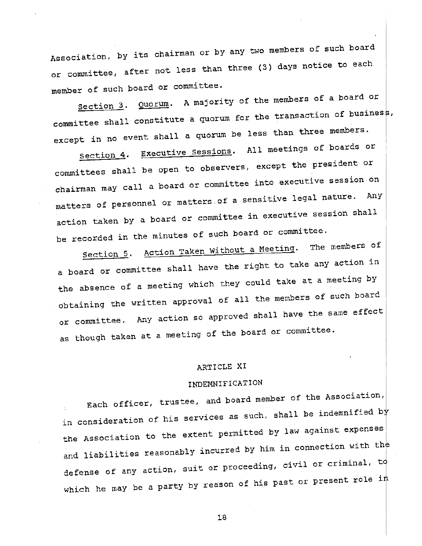Association, by its chairman or by any two members of such board or committee, after not less than three (3) days notice to each member of such board or committee.

Section 3. Quorum. A majority of the members of a board or committee shall constitute a quorum for the transaction of business, except in no event shall a quorum be less than three members.

Section 4. Executive Sessions. All meetings of boards or committees shall be open to observers, except the president or chairman may call a board or committee into executive session on matters of personnel or matters of a sensitive legal nature. action taken by a board or committee in executive session shall be recorded in the minutes of such board or committee.<br>- A sithout a Meeting. The members of

section 5. Action Taken Without a Meeting. a board or committee shall have the right to take any action in the absence of a meeting which they could take at a meeting by obtaining the written approval of all the members of such board or committee. Any action so approved shall have the same effect as though taken at a meeting of the board or committee.

#### ARTICLE XI

### INDEMNIFICATION

Each officer, trustee, and board member of the Association, in consideration of his services as such, shall be indemnified by the Association to the extent permitted by law against expenses and liabilities reasonably incurred incurred by him in connection with the defense of any action, suit or proceeding, civil or criminal,  $t\phi$ which he may be a party by reason of his past or present role  $i\,\sharp$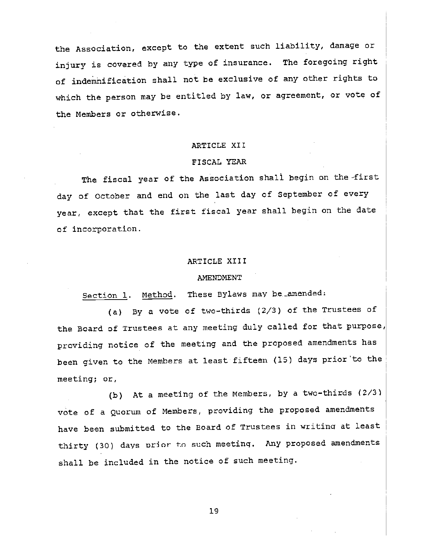the Association, except to the extent such liability, damage or injury is covered by any type of insurance. The foregoing right of indemnification shall not be exclusive of any other rights to which the person may be entitled by law, or agreement, or vote of the Members or otherwise.

### ARTICLE XII

#### FISCAL YEAR

The fiscal year of the Association shall begin on the -first day of October and end on the last day of September of every year, except that the first fiscal year shall begin on the date of incorporation.

#### ARTICLE XIII

#### **AMENDMENT**

Section 1. Method. These Bylaws may be amended:

(a) By a vote of two—thirds (2/3) of the Trustees of the Board of Trustees at any meeting duly called for that purpose, providing notice of the meeting and the proposed amendments has been given to the Members at least fifteen (15) days prior to the meeting; or,

(b) At a meeting of the Members, by a two-thirds  $(2/3)$ vote of a Quorum of Members, providing the proposed amendments have been submitted to the Board of Trustees in writinq at least thirty (30) days prior to such meeting. Any proposed amendments shall be included in the notice of such meeting.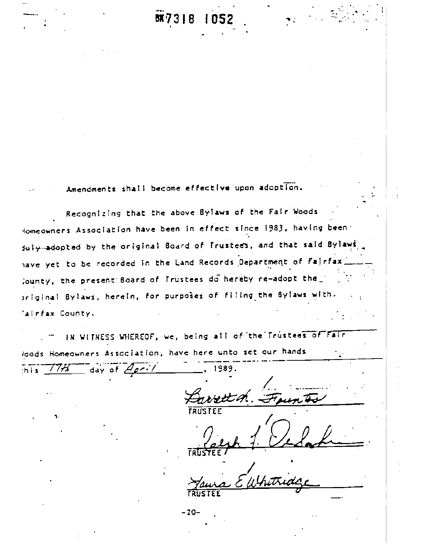#### BK73 1 R

Amendments shall become effective upon adoption.

Recognizing that the above Bylaws of the Fair Woods Homeowners Association have been in effect since 1983, having been: fully-adopted by the original Board of Trustees, and that said Bylaws have yet to be recorded in the Land Records Department of Fairfax Jounty, the present Board of Trustees do hereby re-adopt the original Bylaws, herein, for purposes of filing the Bylaws with. fairfax County.

IN WITNESS WHEREOF, we, being all of the Trustees of Fair loods Homeowners Association, have here unto set our hands day of  $A_{\rho}$ . 1989.  $1/77$ th i si

 $-20-$